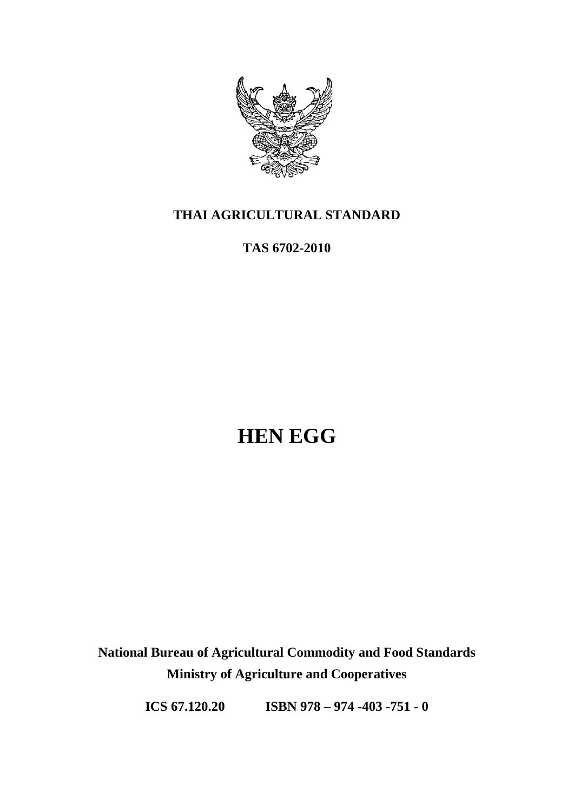

## **THAI AGRICULTURAL STANDARD**

**TAS 6702-2010** 

# **HEN EGG**

**National Bureau of Agricultural Commodity and Food Standards Ministry of Agriculture and Cooperatives** 

**ICS 67.120.20 ISBN 978 – 974 -403 -751 - 0**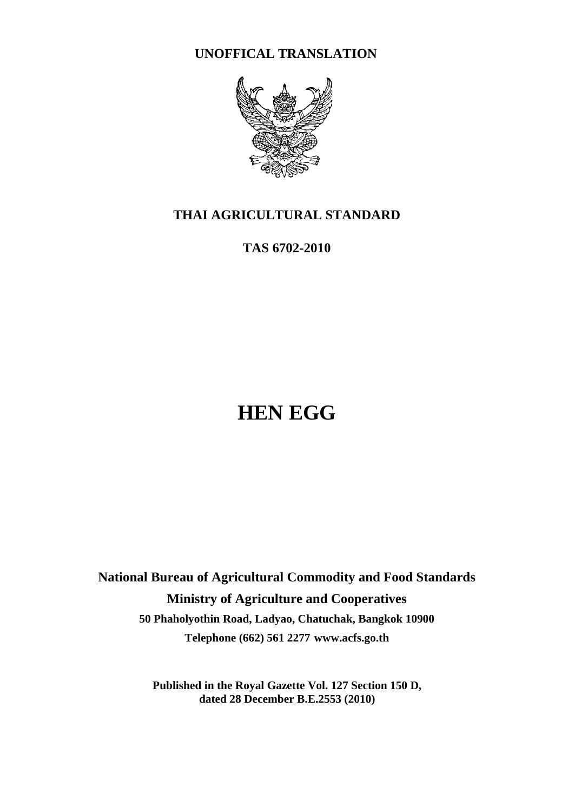**UNOFFICAL TRANSLATION** 



## **THAI AGRICULTURAL STANDARD**

**TAS 6702-2010** 

# **HEN EGG**

**National Bureau of Agricultural Commodity and Food Standards Ministry of Agriculture and Cooperatives 50 Phaholyothin Road, Ladyao, Chatuchak, Bangkok 10900 Telephone (662) 561 2277 www.acfs.go.th**

> **Published in the Royal Gazette Vol. 127 Section 150 D, dated 28 December B.E.2553 (2010)**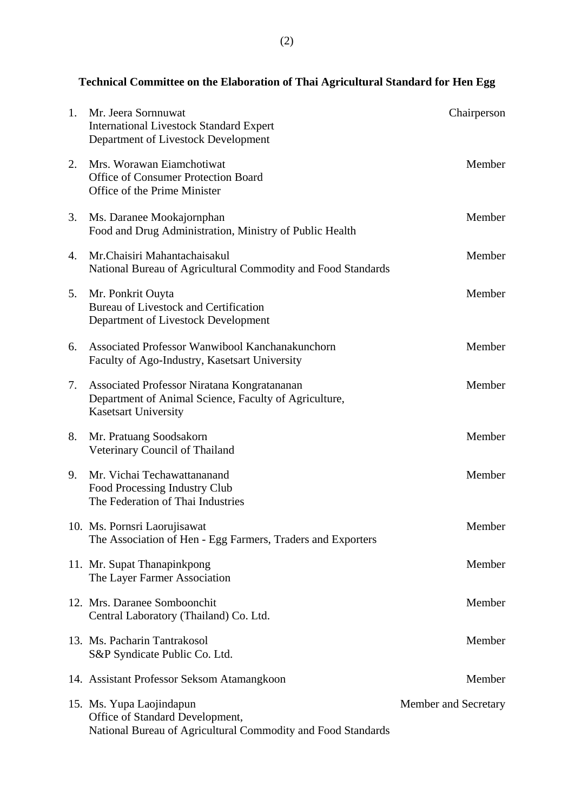# **Technical Committee on the Elaboration of Thai Agricultural Standard for Hen Egg**

| 1. | Mr. Jeera Sornnuwat<br><b>International Livestock Standard Expert</b><br>Department of Livestock Development                        | Chairperson          |
|----|-------------------------------------------------------------------------------------------------------------------------------------|----------------------|
| 2. | Mrs. Worawan Eiamchotiwat<br><b>Office of Consumer Protection Board</b><br>Office of the Prime Minister                             | Member               |
| 3. | Ms. Daranee Mookajornphan<br>Food and Drug Administration, Ministry of Public Health                                                | Member               |
| 4. | Mr. Chaisiri Mahantachaisakul<br>National Bureau of Agricultural Commodity and Food Standards                                       | Member               |
| 5. | Mr. Ponkrit Ouyta<br><b>Bureau of Livestock and Certification</b><br>Department of Livestock Development                            | Member               |
| 6. | Associated Professor Wanwibool Kanchanakunchorn<br>Faculty of Ago-Industry, Kasetsart University                                    | Member               |
| 7. | Associated Professor Niratana Kongratananan<br>Department of Animal Science, Faculty of Agriculture,<br><b>Kasetsart University</b> | Member               |
| 8. | Mr. Pratuang Soodsakorn<br>Veterinary Council of Thailand                                                                           | Member               |
| 9. | Mr. Vichai Techawattananand<br>Food Processing Industry Club<br>The Federation of Thai Industries                                   | Member               |
|    | 10. Ms. Pornsri Laorujisawat<br>The Association of Hen - Egg Farmers, Traders and Exporters                                         | Member               |
|    | 11. Mr. Supat Thanapinkpong<br>The Layer Farmer Association                                                                         | Member               |
|    | 12. Mrs. Daranee Somboonchit<br>Central Laboratory (Thailand) Co. Ltd.                                                              | Member               |
|    | 13. Ms. Pacharin Tantrakosol<br>S&P Syndicate Public Co. Ltd.                                                                       | Member               |
|    | 14. Assistant Professor Seksom Atamangkoon                                                                                          | Member               |
|    | 15. Ms. Yupa Laojindapun<br>Office of Standard Development,<br>National Bureau of Agricultural Commodity and Food Standards         | Member and Secretary |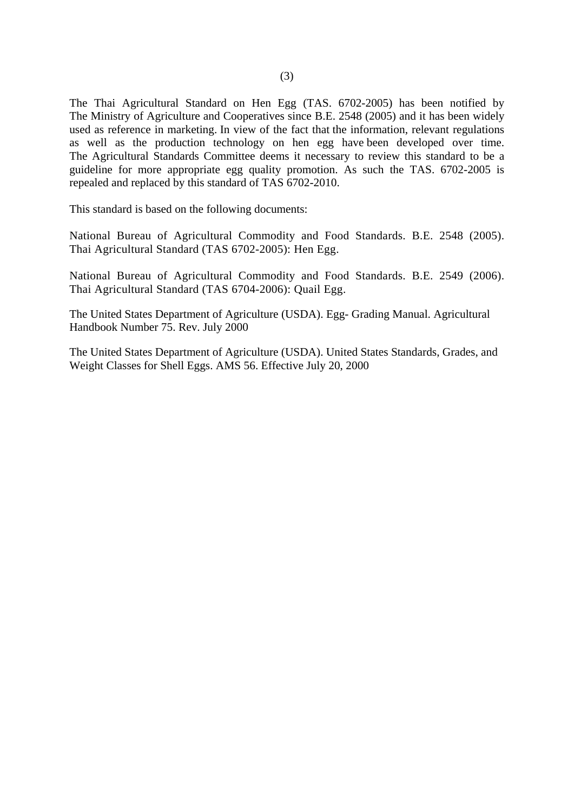The Thai Agricultural Standard on Hen Egg (TAS. 6702-2005) has been notified by The Ministry of Agriculture and Cooperatives since B.E. 2548 (2005) and it has been widely used as reference in marketing. In view of the fact that the information, relevant regulations as well as the production technology on hen egg have been developed over time. The Agricultural Standards Committee deems it necessary to review this standard to be a guideline for more appropriate egg quality promotion. As such the TAS. 6702-2005 is repealed and replaced by this standard of TAS 6702-2010.

This standard is based on the following documents:

National Bureau of Agricultural Commodity and Food Standards. B.E. 2548 (2005). Thai Agricultural Standard (TAS 6702-2005): Hen Egg.

National Bureau of Agricultural Commodity and Food Standards. B.E. 2549 (2006). Thai Agricultural Standard (TAS 6704-2006): Quail Egg.

The United States Department of Agriculture (USDA). Egg- Grading Manual. Agricultural Handbook Number 75. Rev. July 2000

The United States Department of Agriculture (USDA). United States Standards, Grades, and Weight Classes for Shell Eggs. AMS 56. Effective July 20, 2000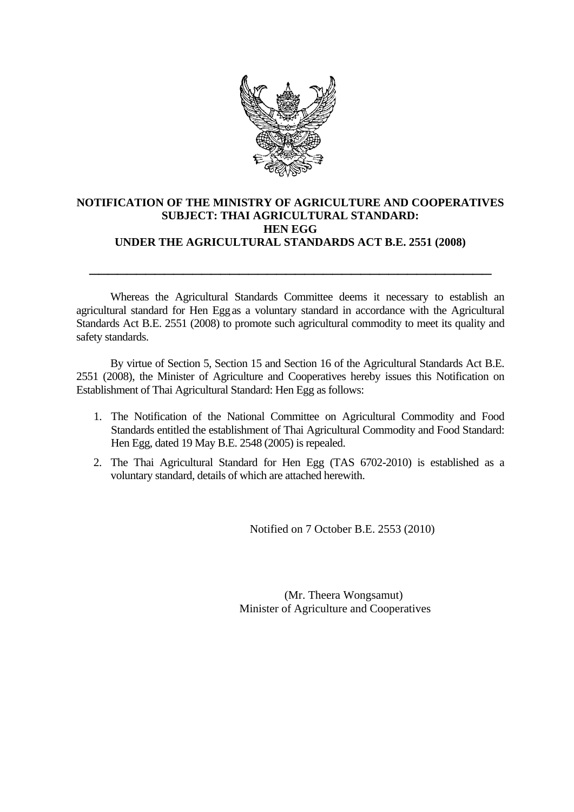

#### **NOTIFICATION OF THE MINISTRY OF AGRICULTURE AND COOPERATIVES SUBJECT: THAI AGRICULTURAL STANDARD: HEN EGG UNDER THE AGRICULTURAL STANDARDS ACT B.E. 2551 (2008)**

\_\_\_\_\_\_\_\_\_\_\_\_\_\_\_\_\_\_\_\_\_\_\_\_\_\_\_\_\_\_\_\_\_\_\_\_\_\_\_\_\_\_\_

Whereas the Agricultural Standards Committee deems it necessary to establish an agricultural standard for Hen Eggas a voluntary standard in accordance with the Agricultural Standards Act B.E. 2551 (2008) to promote such agricultural commodity to meet its quality and safety standards.

By virtue of Section 5, Section 15 and Section 16 of the Agricultural Standards Act B.E. 2551 (2008), the Minister of Agriculture and Cooperatives hereby issues this Notification on Establishment of Thai Agricultural Standard: Hen Egg as follows:

- 1. The Notification of the National Committee on Agricultural Commodity and Food Standards entitled the establishment of Thai Agricultural Commodity and Food Standard: Hen Egg, dated 19 May B.E. 2548 (2005) is repealed.
- 2. The Thai Agricultural Standard for Hen Egg (TAS 6702-2010) is established as a voluntary standard, details of which are attached herewith.

Notified on 7 October B.E. 2553 (2010)

 (Mr. Theera Wongsamut) Minister of Agriculture and Cooperatives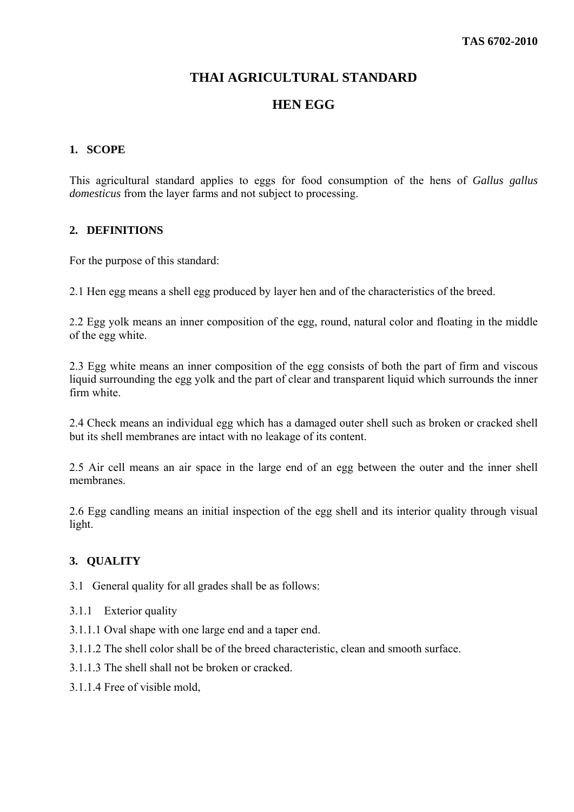#### **THAI AGRICULTURAL STANDARD**

#### **HEN EGG**

#### **1. SCOPE**

This agricultural standard applies to eggs for food consumption of the hens of *Gallus gallus domesticus* from the layer farms and not subject to processing.

#### **2. DEFINITIONS**

For the purpose of this standard:

2.1 Hen egg means a shell egg produced by layer hen and of the characteristics of the breed.

2.2 Egg yolk means an inner composition of the egg, round, natural color and floating in the middle of the egg white.

2.3 Egg white means an inner composition of the egg consists of both the part of firm and viscous liquid surrounding the egg yolk and the part of clear and transparent liquid which surrounds the inner firm white.

2.4 Check means an individual egg which has a damaged outer shell such as broken or cracked shell but its shell membranes are intact with no leakage of its content.

2.5 Air cell means an air space in the large end of an egg between the outer and the inner shell membranes.

2.6 Egg candling means an initial inspection of the egg shell and its interior quality through visual light.

#### **3. QUALITY**

3.1 General quality for all grades shall be as follows:

- 3.1.1 Exterior quality
- 3.1.1.1 Oval shape with one large end and a taper end.
- 3.1.1.2 The shell color shall be of the breed characteristic, clean and smooth surface.
- 3.1.1.3 The shell shall not be broken or cracked.
- 3.1.1.4 Free of visible mold,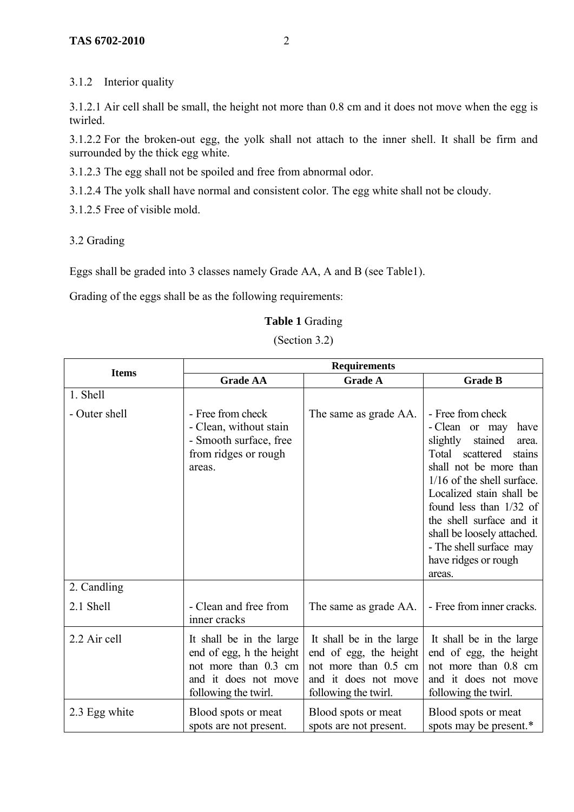3.1.2 Interior quality

3.1.2.1 Air cell shall be small, the height not more than 0.8 cm and it does not move when the egg is twirled.

3.1.2.2 For the broken-out egg, the yolk shall not attach to the inner shell. It shall be firm and surrounded by the thick egg white.

3.1.2.3 The egg shall not be spoiled and free from abnormal odor.

3.1.2.4 The yolk shall have normal and consistent color. The egg white shall not be cloudy.

3.1.2.5 Free of visible mold.

3.2 Grading

Eggs shall be graded into 3 classes namely Grade AA, A and B (see Table1).

Grading of the eggs shall be as the following requirements:

#### **Table 1** Grading

(Section 3.2)

| <b>Items</b>  | <b>Requirements</b>                                                                                                          |                                                                                                                            |                                                                                                                                                                                                                                                                                                                                                    |  |  |
|---------------|------------------------------------------------------------------------------------------------------------------------------|----------------------------------------------------------------------------------------------------------------------------|----------------------------------------------------------------------------------------------------------------------------------------------------------------------------------------------------------------------------------------------------------------------------------------------------------------------------------------------------|--|--|
|               | <b>Grade AA</b>                                                                                                              | <b>Grade A</b>                                                                                                             | <b>Grade B</b>                                                                                                                                                                                                                                                                                                                                     |  |  |
| 1. Shell      |                                                                                                                              |                                                                                                                            |                                                                                                                                                                                                                                                                                                                                                    |  |  |
| - Outer shell | - Free from check<br>- Clean, without stain<br>- Smooth surface, free<br>from ridges or rough<br>areas.                      | The same as grade AA.                                                                                                      | - Free from check<br>- Clean or may<br>have<br>slightly<br>stained<br>area.<br>Total scattered<br>stains<br>shall not be more than<br>$1/16$ of the shell surface.<br>Localized stain shall be<br>found less than $1/32$ of<br>the shell surface and it<br>shall be loosely attached.<br>- The shell surface may<br>have ridges or rough<br>areas. |  |  |
| 2. Candling   |                                                                                                                              |                                                                                                                            |                                                                                                                                                                                                                                                                                                                                                    |  |  |
| 2.1 Shell     | - Clean and free from<br>inner cracks                                                                                        | The same as grade AA.                                                                                                      | - Free from inner cracks.                                                                                                                                                                                                                                                                                                                          |  |  |
| 2.2 Air cell  | It shall be in the large<br>end of egg, h the height<br>not more than 0.3 cm<br>and it does not move<br>following the twirl. | It shall be in the large<br>end of egg, the height<br>not more than 0.5 cm<br>and it does not move<br>following the twirl. | It shall be in the large<br>end of egg, the height<br>not more than 0.8 cm<br>and it does not move<br>following the twirl.                                                                                                                                                                                                                         |  |  |
| 2.3 Egg white | Blood spots or meat<br>spots are not present.                                                                                | Blood spots or meat<br>spots are not present.                                                                              | Blood spots or meat<br>spots may be present.*                                                                                                                                                                                                                                                                                                      |  |  |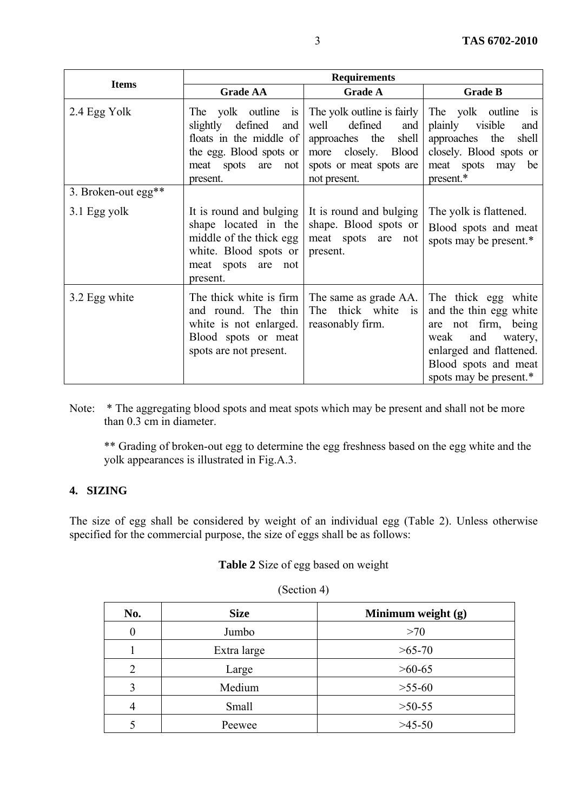|                     | <b>Requirements</b>                                                                                                                                            |                                                                                                                                                      |                                                                                                                                                                                |  |
|---------------------|----------------------------------------------------------------------------------------------------------------------------------------------------------------|------------------------------------------------------------------------------------------------------------------------------------------------------|--------------------------------------------------------------------------------------------------------------------------------------------------------------------------------|--|
| <b>Items</b>        | <b>Grade AA</b>                                                                                                                                                | <b>Grade A</b>                                                                                                                                       | <b>Grade B</b>                                                                                                                                                                 |  |
| 2.4 Egg Yolk        | The yolk outline<br>$\overline{1}$<br>slightly<br>defined<br>and<br>floats in the middle of<br>the egg. Blood spots or<br>meat spots<br>are<br>not<br>present. | The yolk outline is fairly<br>well<br>defined<br>and<br>approaches the<br>shell<br>closely. Blood<br>more<br>spots or meat spots are<br>not present. | The yolk outline<br><b>1S</b><br>plainly<br>visible<br>and<br>approaches the<br>shell<br>closely. Blood spots or<br>meat spots may<br>be<br>present.*                          |  |
| 3. Broken-out egg** |                                                                                                                                                                |                                                                                                                                                      |                                                                                                                                                                                |  |
| 3.1 Egg yolk        | It is round and bulging<br>shape located in the<br>middle of the thick egg<br>white. Blood spots or<br>meat spots are not<br>present.                          | It is round and bulging<br>shape. Blood spots or<br>meat spots are not<br>present.                                                                   | The yolk is flattened.<br>Blood spots and meat<br>spots may be present.*                                                                                                       |  |
| 3.2 Egg white       | The thick white is firm<br>and round. The thin<br>white is not enlarged.<br>Blood spots or meat<br>spots are not present.                                      | The same as grade AA.<br>The thick white is<br>reasonably firm.                                                                                      | The thick egg white<br>and the thin egg white<br>not firm, being<br>are<br>and<br>weak<br>watery,<br>enlarged and flattened.<br>Blood spots and meat<br>spots may be present.* |  |

Note: \* The aggregating blood spots and meat spots which may be present and shall not be more than 0.3 cm in diameter.

 \*\* Grading of broken-out egg to determine the egg freshness based on the egg white and the yolk appearances is illustrated in Fig.A.3.

#### **4. SIZING**

The size of egg shall be considered by weight of an individual egg (Table 2). Unless otherwise specified for the commercial purpose, the size of eggs shall be as follows:

#### **Table 2** Size of egg based on weight

| No.                         | <b>Size</b> | Minimum weight (g) |
|-----------------------------|-------------|--------------------|
|                             | Jumbo       | >70                |
|                             | Extra large | $>65-70$           |
| $\mathcal{D}_{\mathcal{L}}$ | Large       | $>60-65$           |
| 3                           | Medium      | $>55-60$           |
|                             | Small       | $>50-55$           |
|                             | Peewee      | $>45-50$           |

(Section 4)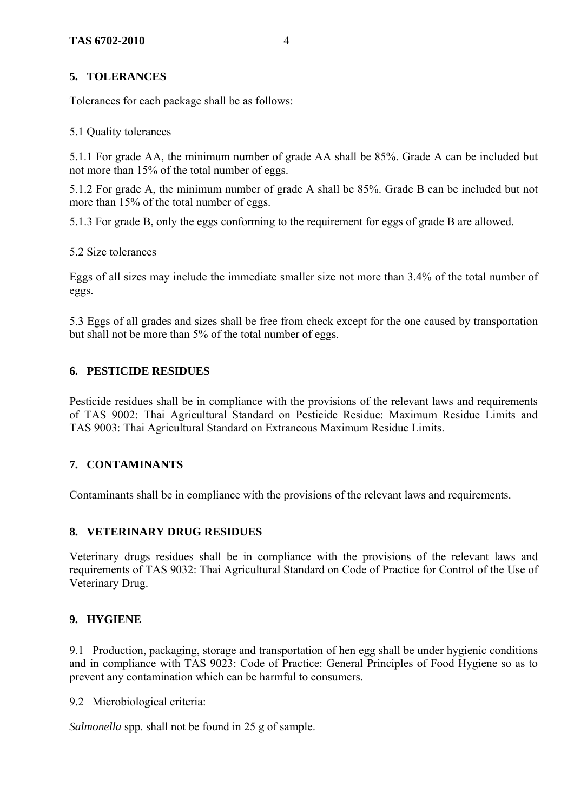#### **5. TOLERANCES**

Tolerances for each package shall be as follows:

#### 5.1 Quality tolerances

5.1.1 For grade AA, the minimum number of grade AA shall be 85%. Grade A can be included but not more than 15% of the total number of eggs.

5.1.2 For grade A, the minimum number of grade A shall be 85%. Grade B can be included but not more than 15% of the total number of eggs.

5.1.3 For grade B, only the eggs conforming to the requirement for eggs of grade B are allowed.

#### 5.2 Size tolerances

Eggs of all sizes may include the immediate smaller size not more than 3.4% of the total number of eggs.

5.3 Eggs of all grades and sizes shall be free from check except for the one caused by transportation but shall not be more than 5% of the total number of eggs.

#### **6. PESTICIDE RESIDUES**

Pesticide residues shall be in compliance with the provisions of the relevant laws and requirements of TAS 9002: Thai Agricultural Standard on Pesticide Residue: Maximum Residue Limits and TAS 9003: Thai Agricultural Standard on Extraneous Maximum Residue Limits.

#### **7. CONTAMINANTS**

Contaminants shall be in compliance with the provisions of the relevant laws and requirements.

#### **8. VETERINARY DRUG RESIDUES**

Veterinary drugs residues shall be in compliance with the provisions of the relevant laws and requirements of TAS 9032: Thai Agricultural Standard on Code of Practice for Control of the Use of Veterinary Drug.

#### **9. HYGIENE**

9.1 Production, packaging, storage and transportation of hen egg shall be under hygienic conditions and in compliance with TAS 9023: Code of Practice: General Principles of Food Hygiene so as to prevent any contamination which can be harmful to consumers.

9.2 Microbiological criteria:

*Salmonella* spp. shall not be found in 25 g of sample.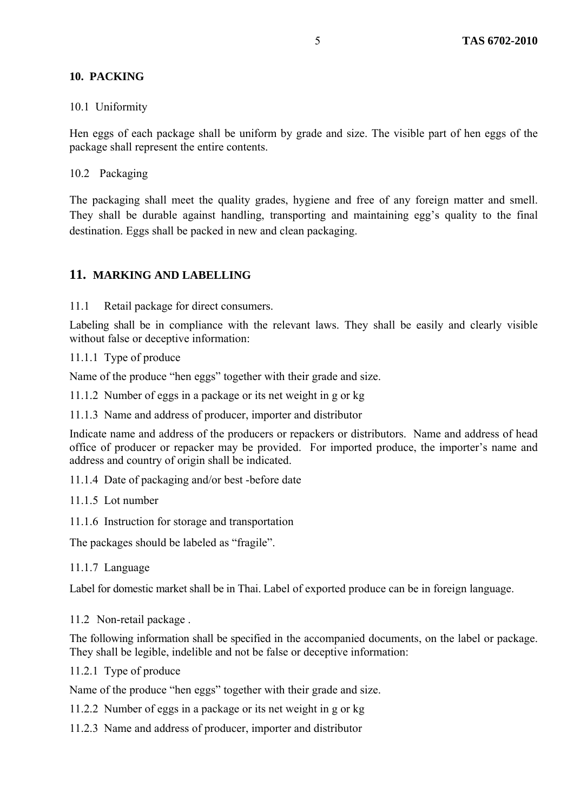#### **10. PACKING**

#### 10.1 Uniformity

Hen eggs of each package shall be uniform by grade and size. The visible part of hen eggs of the package shall represent the entire contents.

10.2 Packaging

The packaging shall meet the quality grades, hygiene and free of any foreign matter and smell. They shall be durable against handling, transporting and maintaining egg's quality to the final destination. Eggs shall be packed in new and clean packaging.

#### **11. MARKING AND LABELLING**

11.1 Retail package for direct consumers.

Labeling shall be in compliance with the relevant laws. They shall be easily and clearly visible without false or deceptive information:

11.1.1 Type of produce

Name of the produce "hen eggs" together with their grade and size.

- 11.1.2 Number of eggs in a package or its net weight in g or kg
- 11.1.3 Name and address of producer, importer and distributor

Indicate name and address of the producers or repackers or distributors. Name and address of head office of producer or repacker may be provided. For imported produce, the importer's name and address and country of origin shall be indicated.

- 11.1.4 Date of packaging and/or best -before date
- 11.1.5 Lot number
- 11.1.6 Instruction for storage and transportation

The packages should be labeled as "fragile".

11.1.7 Language

Label for domestic market shall be in Thai. Label of exported produce can be in foreign language.

11.2 Non-retail package .

The following information shall be specified in the accompanied documents, on the label or package. They shall be legible, indelible and not be false or deceptive information:

11.2.1 Type of produce

Name of the produce "hen eggs" together with their grade and size.

- 11.2.2 Number of eggs in a package or its net weight in g or kg
- 11.2.3 Name and address of producer, importer and distributor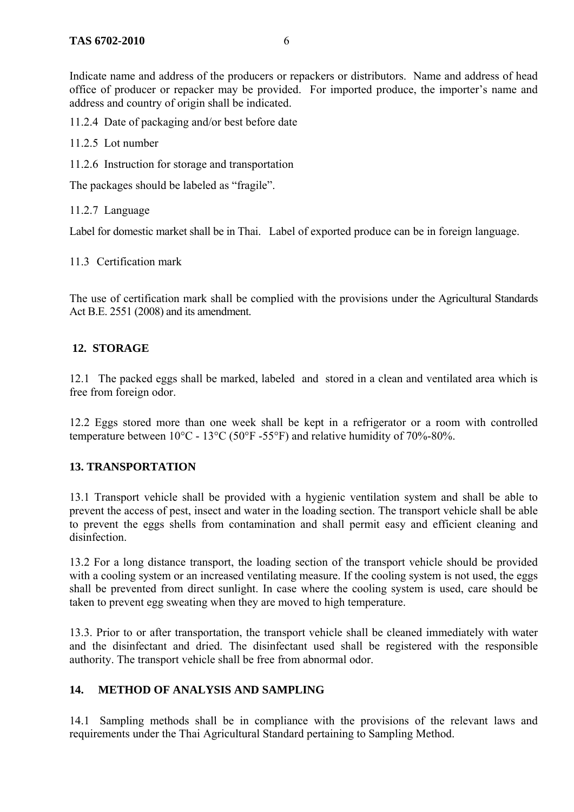Indicate name and address of the producers or repackers or distributors. Name and address of head office of producer or repacker may be provided. For imported produce, the importer's name and address and country of origin shall be indicated.

11.2.4 Date of packaging and/or best before date

- 11.2.5 Lot number
- 11.2.6 Instruction for storage and transportation

The packages should be labeled as "fragile".

11.2.7 Language

Label for domestic market shall be in Thai. Label of exported produce can be in foreign language.

11.3 Certification mark

The use of certification mark shall be complied with the provisions under the Agricultural Standards Act B.E. 2551 (2008) and its amendment.

#### **12. STORAGE**

12.1 The packed eggs shall be marked, labeled and stored in a clean and ventilated area which is free from foreign odor.

12.2 Eggs stored more than one week shall be kept in a refrigerator or a room with controlled temperature between 10°C - 13°C (50°F -55°F) and relative humidity of 70%-80%.

#### **13. TRANSPORTATION**

13.1 Transport vehicle shall be provided with a hygienic ventilation system and shall be able to prevent the access of pest, insect and water in the loading section. The transport vehicle shall be able to prevent the eggs shells from contamination and shall permit easy and efficient cleaning and disinfection.

13.2 For a long distance transport, the loading section of the transport vehicle should be provided with a cooling system or an increased ventilating measure. If the cooling system is not used, the eggs shall be prevented from direct sunlight. In case where the cooling system is used, care should be taken to prevent egg sweating when they are moved to high temperature.

13.3. Prior to or after transportation, the transport vehicle shall be cleaned immediately with water and the disinfectant and dried. The disinfectant used shall be registered with the responsible authority. The transport vehicle shall be free from abnormal odor.

#### **14. METHOD OF ANALYSIS AND SAMPLING**

14.1 Sampling methods shall be in compliance with the provisions of the relevant laws and requirements under the Thai Agricultural Standard pertaining to Sampling Method.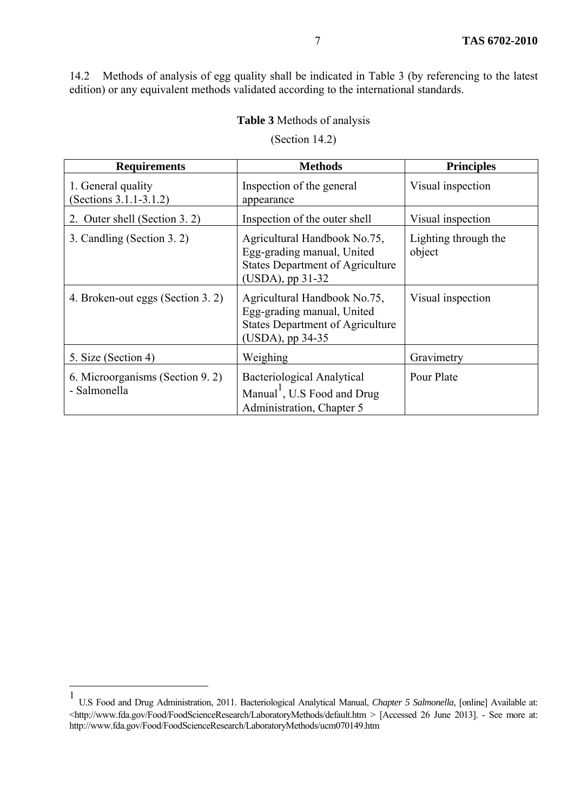14.2 Methods of analysis of egg quality shall be indicated in Table 3 (by referencing to the latest edition) or any equivalent methods validated according to the international standards.

#### **Table 3** Methods of analysis

| <b>Requirements</b>                               | <b>Methods</b>                                                                                                            | <b>Principles</b>              |
|---------------------------------------------------|---------------------------------------------------------------------------------------------------------------------------|--------------------------------|
| 1. General quality<br>(Sections $3.1.1 - 3.1.2$ ) | Inspection of the general<br>appearance                                                                                   | Visual inspection              |
| 2. Outer shell (Section 3.2)                      | Inspection of the outer shell                                                                                             | Visual inspection              |
| 3. Candling (Section 3. 2)                        | Agricultural Handbook No.75,<br>Egg-grading manual, United<br><b>States Department of Agriculture</b><br>(USDA), pp 31-32 | Lighting through the<br>object |
| 4. Broken-out eggs (Section 3. 2)                 | Agricultural Handbook No.75,<br>Egg-grading manual, United<br><b>States Department of Agriculture</b><br>(USDA), pp 34-35 | Visual inspection              |
| 5. Size (Section 4)                               | Weighing                                                                                                                  | Gravimetry                     |
| 6. Microorganisms (Section 9. 2)<br>- Salmonella  | <b>Bacteriological Analytical</b><br>Manual <sup>1</sup> , U.S Food and Drug<br>Administration, Chapter 5                 | Pour Plate                     |

(Section 14.2)

1

<sup>1</sup> U.S Food and Drug Administration, 2011. Bacteriological Analytical Manual, *Chapter 5 Salmonella*, [online] Available at: <http://www.fda.gov/Food/FoodScienceResearch/LaboratoryMethods/default.htm > [Accessed 26 June 2013]. - See more at: http://www.fda.gov/Food/FoodScienceResearch/LaboratoryMethods/ucm070149.htm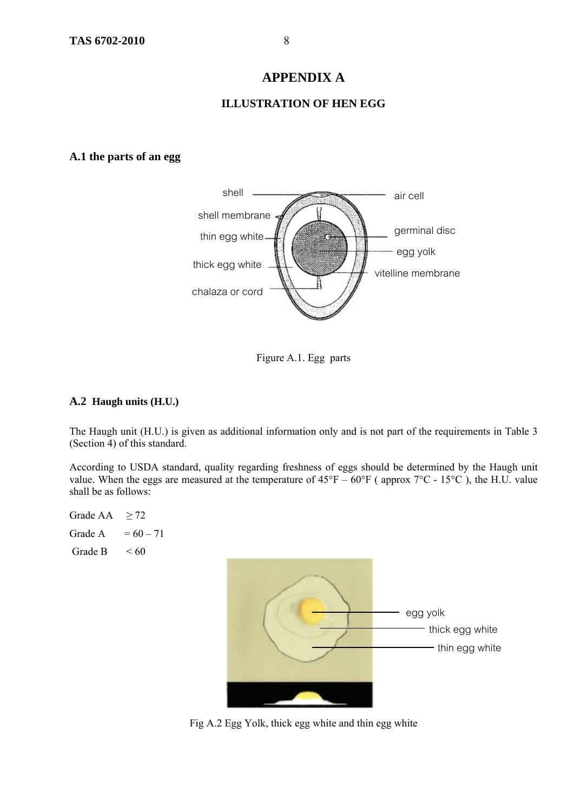#### **APPENDIX A**

#### **ILLUSTRATION OF HEN EGG**

#### **A.1 the parts of an egg**



Figure A.1. Egg parts

#### **A.2 Haugh units (H.U.)**

The Haugh unit (H.U.) is given as additional information only and is not part of the requirements in Table 3 (Section 4) of this standard.

According to USDA standard, quality regarding freshness of eggs should be determined by the Haugh unit value. When the eggs are measured at the temperature of  $45^{\circ}F - 60^{\circ}F$  (approx  $7^{\circ}C - 15^{\circ}C$ ), the H.U. value shall be as follows:



Fig A.2 Egg Yolk, thick egg white and thin egg white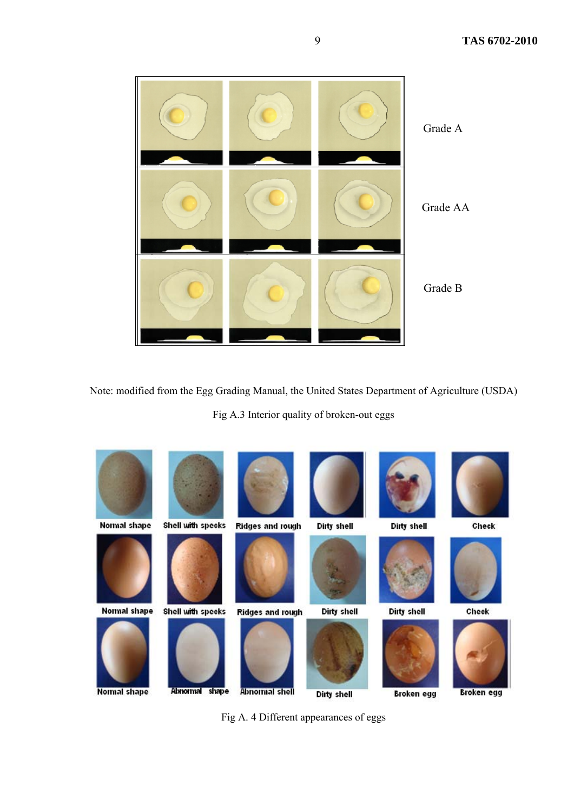

Note: modified from the Egg Grading Manual, the United States Department of Agriculture (USDA)

Fig A.3 Interior quality of broken-out eggs



Fig A. 4 Different appearances of eggs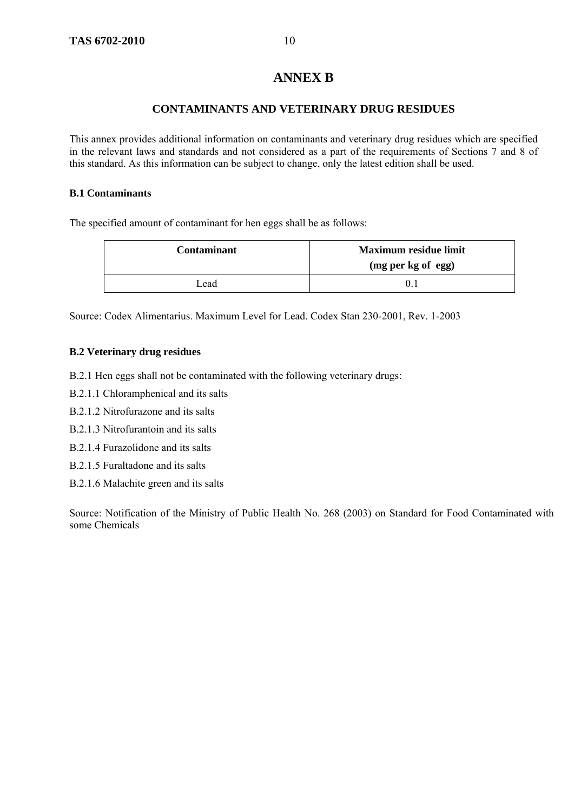#### **ANNEX B**

#### **CONTAMINANTS AND VETERINARY DRUG RESIDUES**

This annex provides additional information on contaminants and veterinary drug residues which are specified in the relevant laws and standards and not considered as a part of the requirements of Sections 7 and 8 of this standard. As this information can be subject to change, only the latest edition shall be used.

#### **B.1 Contaminants**

The specified amount of contaminant for hen eggs shall be as follows:

| <b>Contaminant</b> | <b>Maximum residue limit</b><br>(mg per kg of egg) |
|--------------------|----------------------------------------------------|
| Lead               |                                                    |

Source: Codex Alimentarius. Maximum Level for Lead. Codex Stan 230-2001, Rev. 1-2003

#### **B.2 Veterinary drug residues**

- B.2.1 Hen eggs shall not be contaminated with the following veterinary drugs:
- B.2.1.1 Chloramphenical and its salts
- B.2.1.2 Nitrofurazone and its salts
- B.2.1.3 Nitrofurantoin and its salts
- B.2.1.4 Furazolidone and its salts
- B.2.1.5 Furaltadone and its salts
- B.2.1.6 Malachite green and its salts

Source: Notification of the Ministry of Public Health No. 268 (2003) on Standard for Food Contaminated with some Chemicals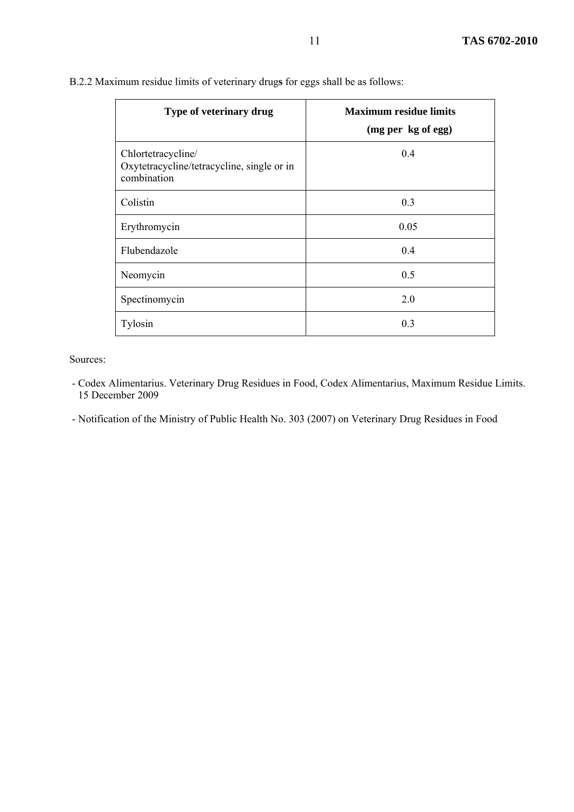| Type of veterinary drug                                                         | <b>Maximum residue limits</b><br>(mg per kg of egg) |
|---------------------------------------------------------------------------------|-----------------------------------------------------|
| Chlortetracycline/<br>Oxytetracycline/tetracycline, single or in<br>combination | 0.4                                                 |
| Colistin                                                                        | 0.3                                                 |
| Erythromycin                                                                    | 0.05                                                |
| Flubendazole                                                                    | 0.4                                                 |
| Neomycin                                                                        | 0.5                                                 |
| Spectinomycin                                                                   | 2.0                                                 |
| Tylosin                                                                         | 0.3                                                 |

| B.2.2 Maximum residue limits of veterinary drugs for eggs shall be as follows: |  |  |  |  |  |
|--------------------------------------------------------------------------------|--|--|--|--|--|
|--------------------------------------------------------------------------------|--|--|--|--|--|

Sources:

- Codex Alimentarius. Veterinary Drug Residues in Food, Codex Alimentarius, Maximum Residue Limits. 15 December 2009
- Notification of the Ministry of Public Health No. 303 (2007) on Veterinary Drug Residues in Food